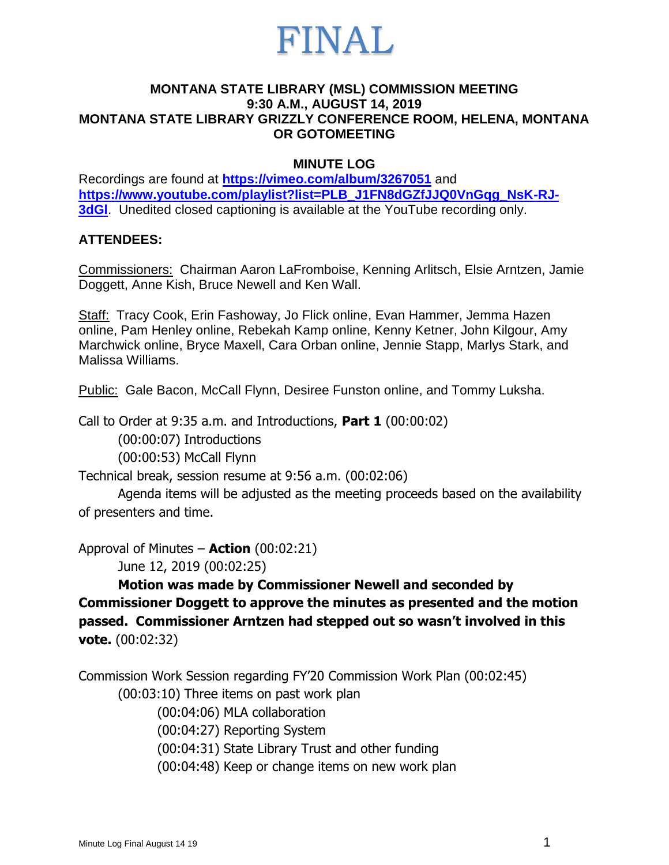

#### **MONTANA STATE LIBRARY (MSL) COMMISSION MEETING 9:30 A.M., AUGUST 14, 2019 MONTANA STATE LIBRARY GRIZZLY CONFERENCE ROOM, HELENA, MONTANA OR GOTOMEETING**

#### **MINUTE LOG**

Recordings are found at **<https://vimeo.com/album/3267051>** and **[https://www.youtube.com/playlist?list=PLB\\_J1FN8dGZfJJQ0VnGqg\\_NsK-RJ-](https://www.youtube.com/playlist?list=PLB_J1FN8dGZfJJQ0VnGqg_NsK-RJ-3dGl)[3dGl](https://www.youtube.com/playlist?list=PLB_J1FN8dGZfJJQ0VnGqg_NsK-RJ-3dGl)**. Unedited closed captioning is available at the YouTube recording only.

#### **ATTENDEES:**

Commissioners: Chairman Aaron LaFromboise, Kenning Arlitsch, Elsie Arntzen, Jamie Doggett, Anne Kish, Bruce Newell and Ken Wall.

Staff: Tracy Cook, Erin Fashoway, Jo Flick online, Evan Hammer, Jemma Hazen online, Pam Henley online, Rebekah Kamp online, Kenny Ketner, John Kilgour, Amy Marchwick online, Bryce Maxell, Cara Orban online, Jennie Stapp, Marlys Stark, and Malissa Williams.

Public: Gale Bacon, McCall Flynn, Desiree Funston online, and Tommy Luksha.

Call to Order at 9:35 a.m. and Introductions, **Part 1** (00:00:02)

(00:00:07) Introductions

(00:00:53) McCall Flynn

Technical break, session resume at 9:56 a.m. (00:02:06)

Agenda items will be adjusted as the meeting proceeds based on the availability of presenters and time.

Approval of Minutes – **Action** (00:02:21)

June 12, 2019 (00:02:25)

**Motion was made by Commissioner Newell and seconded by Commissioner Doggett to approve the minutes as presented and the motion passed. Commissioner Arntzen had stepped out so wasn't involved in this vote.** (00:02:32)

Commission Work Session regarding FY'20 Commission Work Plan (00:02:45)

(00:03:10) Three items on past work plan

(00:04:06) MLA collaboration

(00:04:27) Reporting System

(00:04:31) State Library Trust and other funding

(00:04:48) Keep or change items on new work plan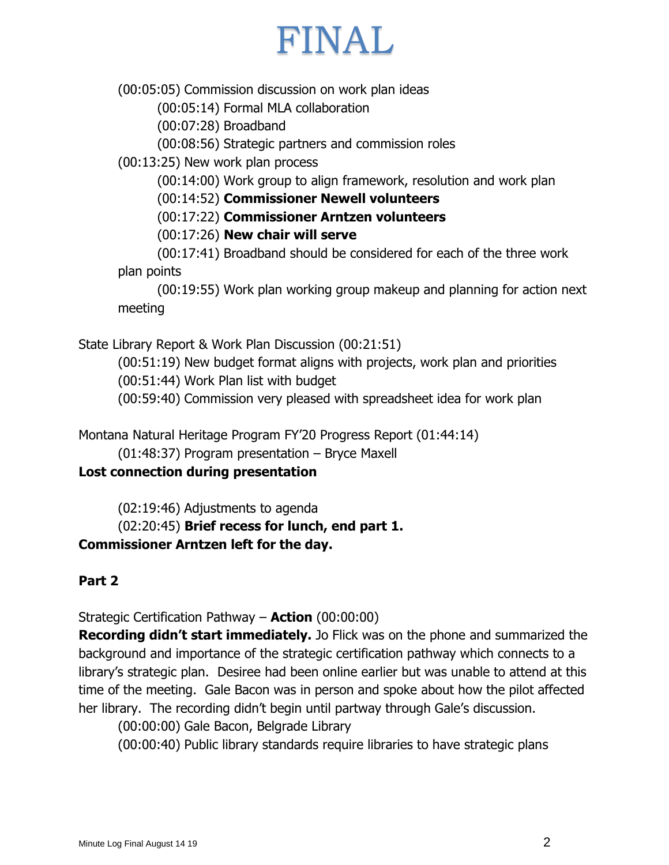# FINAL

(00:05:05) Commission discussion on work plan ideas

(00:05:14) Formal MLA collaboration

(00:07:28) Broadband

(00:08:56) Strategic partners and commission roles

(00:13:25) New work plan process

(00:14:00) Work group to align framework, resolution and work plan

(00:14:52) **Commissioner Newell volunteers**

(00:17:22) **Commissioner Arntzen volunteers**

(00:17:26) **New chair will serve**

(00:17:41) Broadband should be considered for each of the three work plan points

(00:19:55) Work plan working group makeup and planning for action next meeting

State Library Report & Work Plan Discussion (00:21:51)

(00:51:19) New budget format aligns with projects, work plan and priorities

(00:51:44) Work Plan list with budget

(00:59:40) Commission very pleased with spreadsheet idea for work plan

Montana Natural Heritage Program FY'20 Progress Report (01:44:14)

(01:48:37) Program presentation – Bryce Maxell

## **Lost connection during presentation**

(02:19:46) Adjustments to agenda

(02:20:45) **Brief recess for lunch, end part 1.**

## **Commissioner Arntzen left for the day.**

## **Part 2**

Strategic Certification Pathway – **Action** (00:00:00)

**Recording didn't start immediately.** Jo Flick was on the phone and summarized the background and importance of the strategic certification pathway which connects to a library's strategic plan. Desiree had been online earlier but was unable to attend at this time of the meeting. Gale Bacon was in person and spoke about how the pilot affected her library. The recording didn't begin until partway through Gale's discussion.

(00:00:00) Gale Bacon, Belgrade Library

(00:00:40) Public library standards require libraries to have strategic plans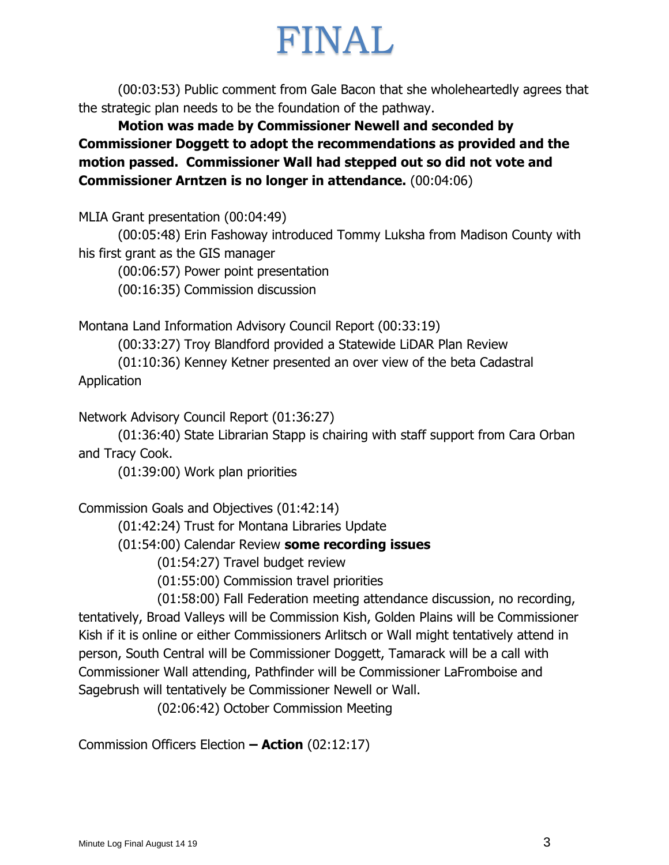# FINAL

(00:03:53) Public comment from Gale Bacon that she wholeheartedly agrees that the strategic plan needs to be the foundation of the pathway.

**Motion was made by Commissioner Newell and seconded by Commissioner Doggett to adopt the recommendations as provided and the motion passed. Commissioner Wall had stepped out so did not vote and Commissioner Arntzen is no longer in attendance.** (00:04:06)

MLIA Grant presentation (00:04:49)

(00:05:48) Erin Fashoway introduced Tommy Luksha from Madison County with his first grant as the GIS manager

(00:06:57) Power point presentation

(00:16:35) Commission discussion

Montana Land Information Advisory Council Report (00:33:19)

(00:33:27) Troy Blandford provided a Statewide LiDAR Plan Review (01:10:36) Kenney Ketner presented an over view of the beta Cadastral **Application** 

Network Advisory Council Report (01:36:27)

(01:36:40) State Librarian Stapp is chairing with staff support from Cara Orban and Tracy Cook.

(01:39:00) Work plan priorities

Commission Goals and Objectives (01:42:14)

(01:42:24) Trust for Montana Libraries Update

(01:54:00) Calendar Review **some recording issues**

(01:54:27) Travel budget review

(01:55:00) Commission travel priorities

(01:58:00) Fall Federation meeting attendance discussion, no recording, tentatively, Broad Valleys will be Commission Kish, Golden Plains will be Commissioner Kish if it is online or either Commissioners Arlitsch or Wall might tentatively attend in person, South Central will be Commissioner Doggett, Tamarack will be a call with Commissioner Wall attending, Pathfinder will be Commissioner LaFromboise and Sagebrush will tentatively be Commissioner Newell or Wall.

(02:06:42) October Commission Meeting

Commission Officers Election **– Action** (02:12:17)